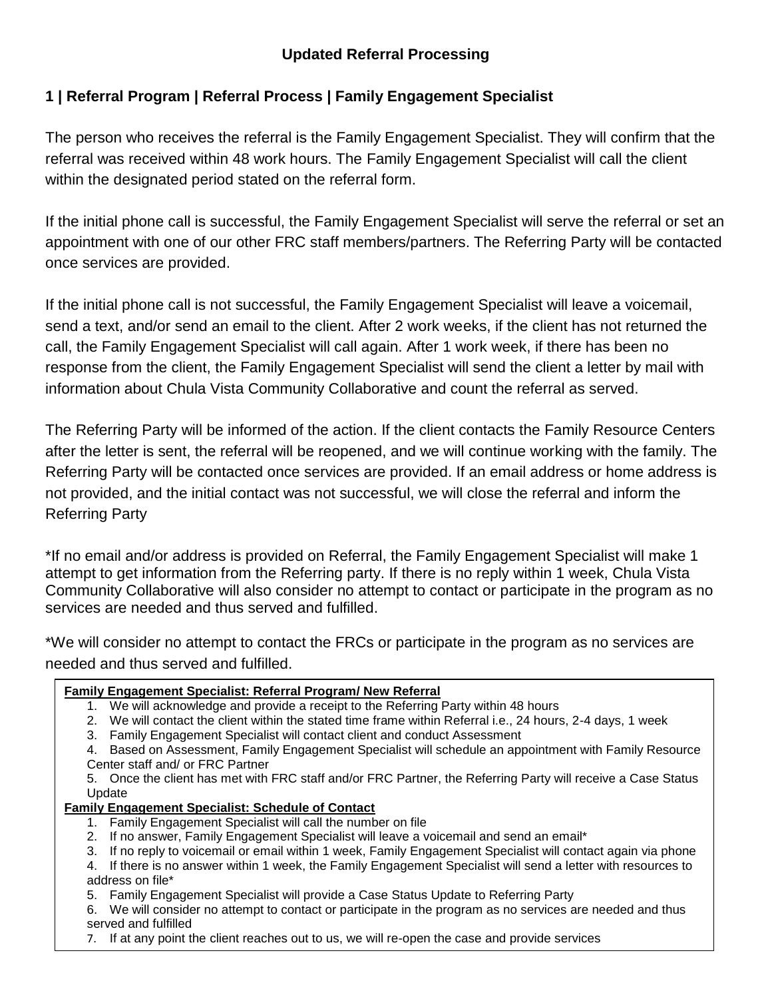## **Updated Referral Processing**

## **1 | Referral Program | Referral Process | Family Engagement Specialist**

The person who receives the referral is the Family Engagement Specialist. They will confirm that the referral was received within 48 work hours. The Family Engagement Specialist will call the client within the designated period stated on the referral form.

If the initial phone call is successful, the Family Engagement Specialist will serve the referral or set an appointment with one of our other FRC staff members/partners. The Referring Party will be contacted once services are provided.

If the initial phone call is not successful, the Family Engagement Specialist will leave a voicemail, send a text, and/or send an email to the client. After 2 work weeks, if the client has not returned the call, the Family Engagement Specialist will call again. After 1 work week, if there has been no response from the client, the Family Engagement Specialist will send the client a letter by mail with information about Chula Vista Community Collaborative and count the referral as served.

The Referring Party will be informed of the action. If the client contacts the Family Resource Centers after the letter is sent, the referral will be reopened, and we will continue working with the family. The Referring Party will be contacted once services are provided. If an email address or home address is not provided, and the initial contact was not successful, we will close the referral and inform the Referring Party

\*If no email and/or address is provided on Referral, the Family Engagement Specialist will make 1 attempt to get information from the Referring party. If there is no reply within 1 week, Chula Vista Community Collaborative will also consider no attempt to contact or participate in the program as no services are needed and thus served and fulfilled.

\*We will consider no attempt to contact the FRCs or participate in the program as no services are needed and thus served and fulfilled.

### **Family Engagement Specialist: Referral Program/ New Referral**

- 1. We will acknowledge and provide a receipt to the Referring Party within 48 hours
- 2. We will contact the client within the stated time frame within Referral i.e., 24 hours, 2-4 days, 1 week
- 3. Family Engagement Specialist will contact client and conduct Assessment

4. Based on Assessment, Family Engagement Specialist will schedule an appointment with Family Resource Center staff and/ or FRC Partner

5. Once the client has met with FRC staff and/or FRC Partner, the Referring Party will receive a Case Status Update

#### **Family Engagement Specialist: Schedule of Contact**

- 1. Family Engagement Specialist will call the number on file
- 2. If no answer, Family Engagement Specialist will leave a voicemail and send an email\*
- 3. If no reply to voicemail or email within 1 week, Family Engagement Specialist will contact again via phone
- 4. If there is no answer within 1 week, the Family Engagement Specialist will send a letter with resources to address on file\*
- 5. Family Engagement Specialist will provide a Case Status Update to Referring Party
- 6. We will consider no attempt to contact or participate in the program as no services are needed and thus served and fulfilled
- 7. If at any point the client reaches out to us, we will re-open the case and provide services